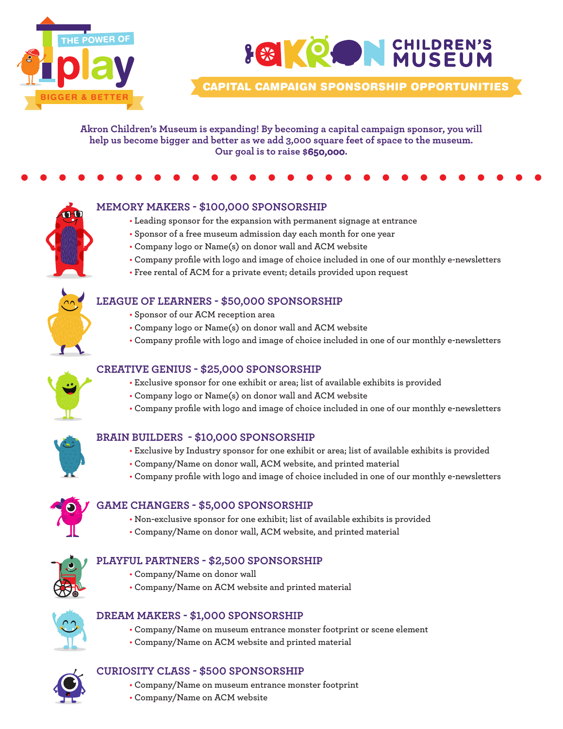

# **LEIKRON CHILDREN'S**

*CAPITAL CAMPAIGN SPONSORSHIP OPPORTUNITIES*

**Akron Children's Museum is expanding! By becoming a capital campaign sponsor, you will help us become bigger and better as we add 3,000 square feet of space to the museum. Our goal is to raise \$650,000.**





#### **MEMORY MAKERS - \$100,000 SPONSORSHIP**

- **• Leading sponsor for the expansion with permanent signage at entrance**
- **• Sponsor of a free museum admission day each month for one year**
- **• Company logo or Name(s) on donor wall and ACM website**
- **• Company profile with logo and image of choice included in one of our monthly e-newsletters**
- **• Free rental of ACM for a private event; details provided upon request**



- **• Sponsor of our ACM reception area**
- **• Company logo or Name(s) on donor wall and ACM website**
- **• Company profile with logo and image of choice included in one of our monthly e-newsletters**



#### **CREATIVE GENIUS - \$25,000 SPONSORSHIP**

- **• Exclusive sponsor for one exhibit or area; list of available exhibits is provided**
- **• Company logo or Name(s) on donor wall and ACM website**
- **• Company profile with logo and image of choice included in one of our monthly e-newsletters**

#### **BRAIN BUILDERS - \$10,000 SPONSORSHIP**

- **• Exclusive by Industry sponsor for one exhibit or area; list of available exhibits is provided**
- **• Company/Name on donor wall, ACM website, and printed material**
- **• Company profile with logo and image of choice included in one of our monthly e-newsletters**



#### **GAME CHANGERS - \$5,000 SPONSORSHIP**

- **• Non-exclusive sponsor for one exhibit; list of available exhibits is provided**
- **• Company/Name on donor wall, ACM website, and printed material**

#### **PLAYFUL PARTNERS - \$2,500 SPONSORSHIP**

- **• Company/Name on donor wall**
	- **• Company/Name on ACM website and printed material**



#### **DREAM MAKERS - \$1,000 SPONSORSHIP**

- **• Company/Name on museum entrance monster footprint or scene element**
- **• Company/Name on ACM website and printed material**

#### **CURIOSITY CLASS - \$500 SPONSORSHIP**

- **• Company/Name on museum entrance monster footprint**
- **• Company/Name on ACM website**